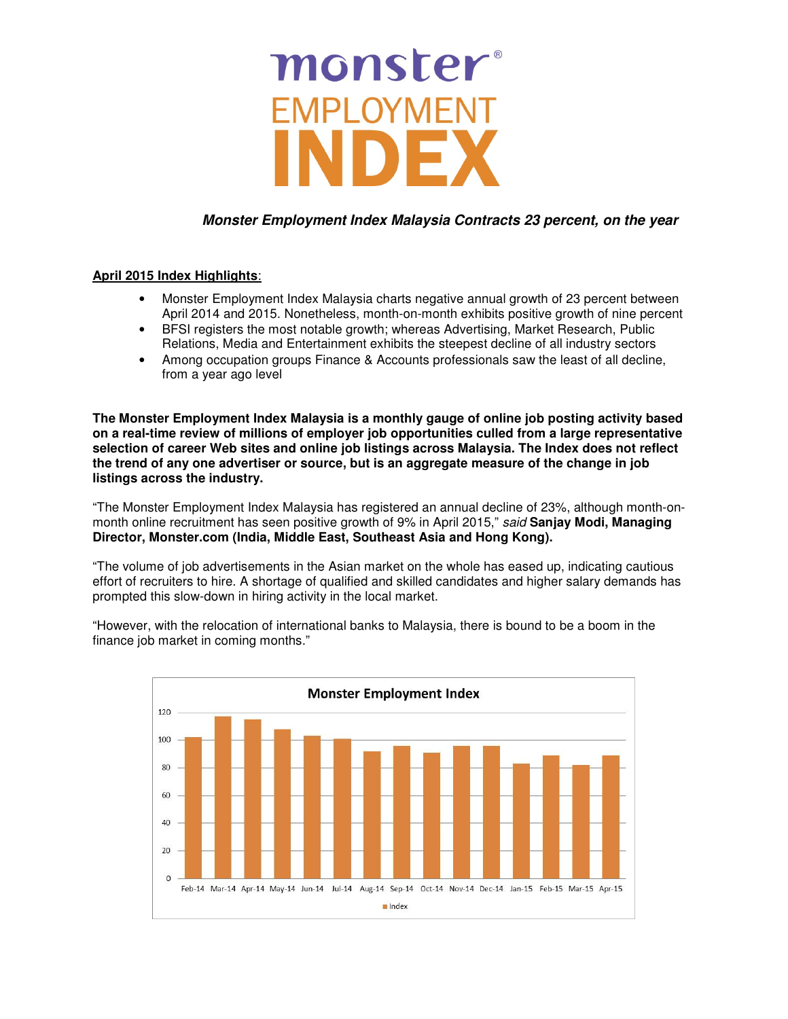# monster® **EMPLOYMENT** NE

### **Monster Employment Index Malaysia Contracts 23 percent, on the year**

#### **April 2015 Index Highlights**:

- Monster Employment Index Malaysia charts negative annual growth of 23 percent between April 2014 and 2015. Nonetheless, month-on-month exhibits positive growth of nine percent
- BFSI registers the most notable growth; whereas Advertising, Market Research, Public Relations, Media and Entertainment exhibits the steepest decline of all industry sectors
- Among occupation groups Finance & Accounts professionals saw the least of all decline, from a year ago level

**The Monster Employment Index Malaysia is a monthly gauge of online job posting activity based on a real-time review of millions of employer job opportunities culled from a large representative selection of career Web sites and online job listings across Malaysia. The Index does not reflect the trend of any one advertiser or source, but is an aggregate measure of the change in job listings across the industry.** 

"The Monster Employment Index Malaysia has registered an annual decline of 23%, although month-onmonth online recruitment has seen positive growth of 9% in April 2015," said **Sanjay Modi, Managing Director, Monster.com (India, Middle East, Southeast Asia and Hong Kong).**

"The volume of job advertisements in the Asian market on the whole has eased up, indicating cautious effort of recruiters to hire. A shortage of qualified and skilled candidates and higher salary demands has prompted this slow-down in hiring activity in the local market.

"However, with the relocation of international banks to Malaysia, there is bound to be a boom in the finance job market in coming months."

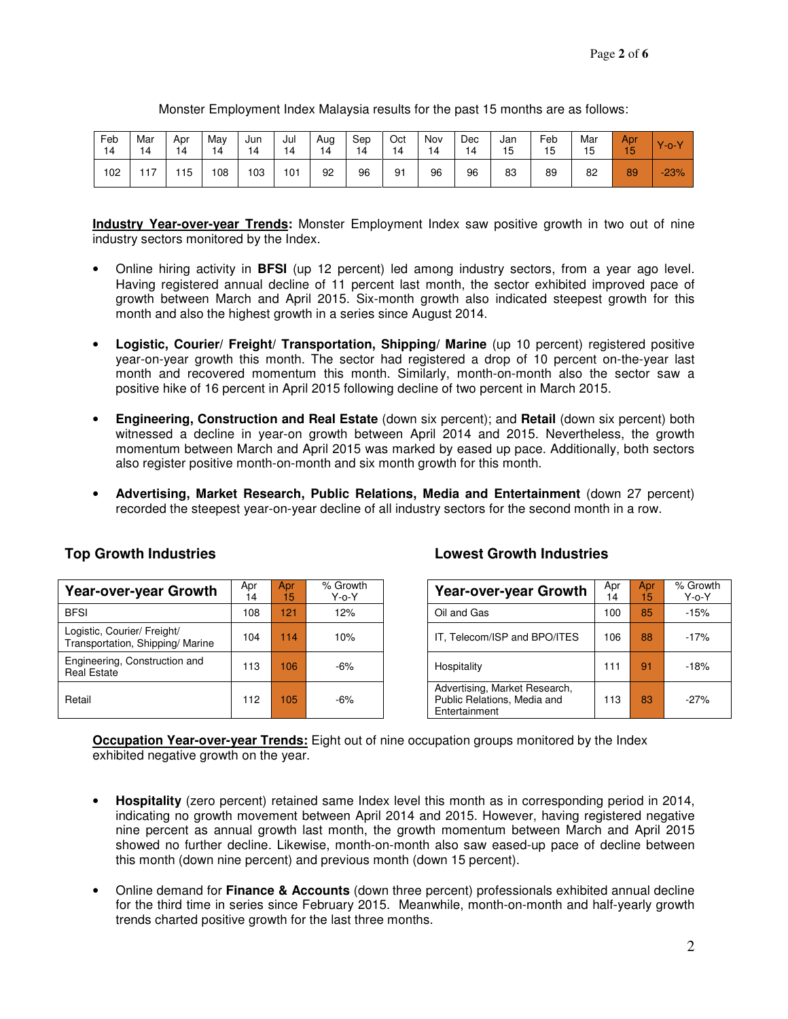| Feb<br>14 | Mar<br>14            | Apr<br>14 | May<br>14 | Jun<br>14 | Jul<br>،4 | Aug | Sep<br>14 | Oct<br>14 | Nov<br>14 | Dec | Jan<br>15 | Feb<br>◡ | Mar<br>15<br>ں ا | Apr<br><b>CONTRACT</b> | $V - 0$ |
|-----------|----------------------|-----------|-----------|-----------|-----------|-----|-----------|-----------|-----------|-----|-----------|----------|------------------|------------------------|---------|
| 102       | $\rightarrow$<br>. . | 15        | 108       | 103       | 101       | 92  | 96        | 91        | 96        | 96  | 83        | 89       | 82               | 89                     | $-23%$  |

Monster Employment Index Malaysia results for the past 15 months are as follows:

**Industry Year-over-year Trends:** Monster Employment Index saw positive growth in two out of nine industry sectors monitored by the Index.

- Online hiring activity in **BFSI** (up 12 percent) led among industry sectors, from a year ago level. Having registered annual decline of 11 percent last month, the sector exhibited improved pace of growth between March and April 2015. Six-month growth also indicated steepest growth for this month and also the highest growth in a series since August 2014.
- **Logistic, Courier/ Freight/ Transportation, Shipping/ Marine** (up 10 percent) registered positive year-on-year growth this month. The sector had registered a drop of 10 percent on-the-year last month and recovered momentum this month. Similarly, month-on-month also the sector saw a positive hike of 16 percent in April 2015 following decline of two percent in March 2015.
- **Engineering, Construction and Real Estate** (down six percent); and **Retail** (down six percent) both witnessed a decline in year-on growth between April 2014 and 2015. Nevertheless, the growth momentum between March and April 2015 was marked by eased up pace. Additionally, both sectors also register positive month-on-month and six month growth for this month.
- **Advertising, Market Research, Public Relations, Media and Entertainment** (down 27 percent) recorded the steepest year-on-year decline of all industry sectors for the second month in a row.

| <b>Year-over-year Growth</b>                                   | Apr<br>14 | Apr<br>15 | % Growth<br>$Y$ -o- $Y$ | <b>Year-over-year Growth</b>                                                  | Apr<br>14 | Apr.<br>15 | % Grow<br>$Y$ -o- $Y$ |
|----------------------------------------------------------------|-----------|-----------|-------------------------|-------------------------------------------------------------------------------|-----------|------------|-----------------------|
| <b>BFSI</b>                                                    | 108       | 121       | 12%                     | Oil and Gas                                                                   | 100       | 85         | $-15%$                |
| Logistic, Courier/ Freight/<br>Transportation, Shipping/Marine | 104       | 114       | 10%                     | IT, Telecom/ISP and BPO/ITES                                                  | 106       | 88         | $-17%$                |
| Engineering, Construction and<br><b>Real Estate</b>            | 13        | 106       | $-6%$                   | Hospitality                                                                   | 11        | 91         | $-18%$                |
| Retail                                                         | 12        | 105       | $-6%$                   | Advertising, Market Research,<br>Public Relations, Media and<br>Entertainment | 113       | 83         | $-27%$                |

#### **Top Growth Industries Lowest Growth Industries**

| Growth<br>Y-o-Y | <b>Year-over-year Growth</b>                                                  | Apr<br>14 | Apr<br>15 | % Growth<br>$Y$ -o- $Y$ |
|-----------------|-------------------------------------------------------------------------------|-----------|-----------|-------------------------|
| 12%             | Oil and Gas                                                                   | 100       | 85        | $-15%$                  |
| 10%             | IT, Telecom/ISP and BPO/ITES                                                  | 106       | 88        | $-17%$                  |
| $-6%$           | Hospitality                                                                   | 111       | 91        | $-18%$                  |
| $-6%$           | Advertising, Market Research,<br>Public Relations, Media and<br>Entertainment | 113       | 83        | $-27%$                  |

**Occupation Year-over-year Trends:** Eight out of nine occupation groups monitored by the Index exhibited negative growth on the year.

- **Hospitality** (zero percent) retained same Index level this month as in corresponding period in 2014, indicating no growth movement between April 2014 and 2015. However, having registered negative nine percent as annual growth last month, the growth momentum between March and April 2015 showed no further decline. Likewise, month-on-month also saw eased-up pace of decline between this month (down nine percent) and previous month (down 15 percent).
- Online demand for **Finance & Accounts** (down three percent) professionals exhibited annual decline for the third time in series since February 2015. Meanwhile, month-on-month and half-yearly growth trends charted positive growth for the last three months.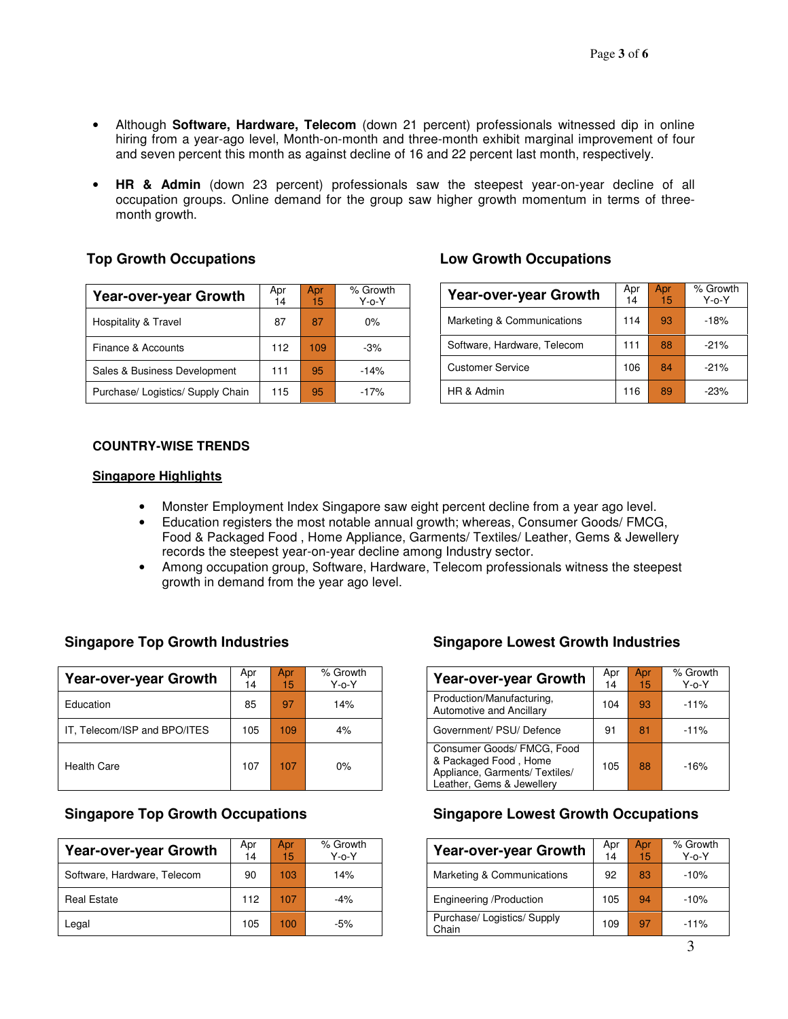- Although **Software, Hardware, Telecom** (down 21 percent) professionals witnessed dip in online hiring from a year-ago level, Month-on-month and three-month exhibit marginal improvement of four and seven percent this month as against decline of 16 and 22 percent last month, respectively.
- **HR & Admin** (down 23 percent) professionals saw the steepest year-on-year decline of all occupation groups. Online demand for the group saw higher growth momentum in terms of threemonth growth.

### **Top Growth Occupations**

| <b>Year-over-year Growth</b>      | Apr<br>14 | Apr<br>15 | % Growth<br>$Y$ -o- $Y$ |
|-----------------------------------|-----------|-----------|-------------------------|
| Hospitality & Travel              | 87        | 87        | $0\%$                   |
| Finance & Accounts                | 112       | 109       | $-3%$                   |
| Sales & Business Development      | 111       | 95        | $-14%$                  |
| Purchase/ Logistics/ Supply Chain | 115       | 95        | $-17%$                  |

### **Low Growth Occupations**

| <b>Year-over-year Growth</b> | Apr<br>14 | Apr<br>15 | % Growth<br>$Y$ -o- $Y$ |
|------------------------------|-----------|-----------|-------------------------|
| Marketing & Communications   | 114       | 93        | $-18%$                  |
| Software, Hardware, Telecom  | 111       | 88        | $-21%$                  |
| <b>Customer Service</b>      | 106       | 84        | $-21%$                  |
| HR & Admin                   | 116       | 89        | $-23%$                  |

#### **COUNTRY-WISE TRENDS**

#### **Singapore Highlights**

- Monster Employment Index Singapore saw eight percent decline from a year ago level.
- Education registers the most notable annual growth; whereas, Consumer Goods/ FMCG, Food & Packaged Food , Home Appliance, Garments/ Textiles/ Leather, Gems & Jewellery records the steepest year-on-year decline among Industry sector.
- Among occupation group, Software, Hardware, Telecom professionals witness the steepest growth in demand from the year ago level.

| <b>Year-over-year Growth</b> | Apr<br>14 | Apr<br>15 <sub>1</sub> | % Growth<br>$Y$ -o- $Y$ | <b>Year-over-year Growth</b>                                                                                       | Apr<br>14 | Apr<br>15 | % Grow<br>$Y$ -o- $Y$ |
|------------------------------|-----------|------------------------|-------------------------|--------------------------------------------------------------------------------------------------------------------|-----------|-----------|-----------------------|
| Education                    | 85        | 97                     | 14%                     | Production/Manufacturing,<br>Automotive and Ancillary                                                              | 104       | 93        | $-11%$                |
| IT, Telecom/ISP and BPO/ITES | 105       | 109                    | 4%                      | Government/ PSU/ Defence                                                                                           | 91        | 81        | $-11%$                |
| <b>Health Care</b>           | 107       | 107                    | 0%                      | Consumer Goods/ FMCG, Food<br>& Packaged Food, Home<br>Appliance, Garments/ Textiles/<br>Leather, Gems & Jewellery | 105       | 88        | $-16%$                |

| <b>Year-over-year Growth</b> | Apr<br>14 | Apr<br>15 | % Growth<br>$Y$ -o- $Y$ | <b>Year-over-year Growth</b>         | Apr<br>14 | Apr<br>15 | % Grow<br>$Y$ -o- $Y$ |
|------------------------------|-----------|-----------|-------------------------|--------------------------------------|-----------|-----------|-----------------------|
| Software, Hardware, Telecom  | 90        | 103       | 14%                     | Marketing & Communications           | 92        | 83        | $-10%$                |
| <b>Real Estate</b>           | 112       | 107       | $-4%$                   | Engineering /Production              | 105       | 94        | $-10%$                |
| Legal                        | 105       | 100       | $-5%$                   | Purchase/ Logistics/ Supply<br>Chain | 109       | 97        | $-11%$                |

### **Singapore Top Growth Industries Singapore Lowest Growth Industries**

| Growth<br>Y-o-Y | <b>Year-over-year Growth</b>                                                                                       | Apr<br>14 | Apr<br>15 | % Growth<br>$Y$ -o- $Y$ |
|-----------------|--------------------------------------------------------------------------------------------------------------------|-----------|-----------|-------------------------|
| 14%             | Production/Manufacturing,<br>Automotive and Ancillary                                                              | 104       | 93        | $-11%$                  |
| 4%              | Government/ PSU/ Defence                                                                                           | 91        | 81        | $-11%$                  |
| 0%              | Consumer Goods/ FMCG, Food<br>& Packaged Food, Home<br>Appliance, Garments/ Textiles/<br>Leather, Gems & Jewellery | 105       | 88        | $-16%$                  |

#### **Singapore Top Growth Occupations Singapore Lowest Growth Occupations**

| Growth<br>Y-o-Y | <b>Year-over-year Growth</b>         | Apr<br>14 | Apr<br>15 | % Growth<br>$Y$ -o- $Y$ |
|-----------------|--------------------------------------|-----------|-----------|-------------------------|
| 14%             | Marketing & Communications           | 92        | 83        | $-10%$                  |
| $-4%$           | Engineering /Production              | 105       | 94        | $-10%$                  |
| $-5%$           | Purchase/ Logistics/ Supply<br>Chain | 109       | 97        | $-11%$                  |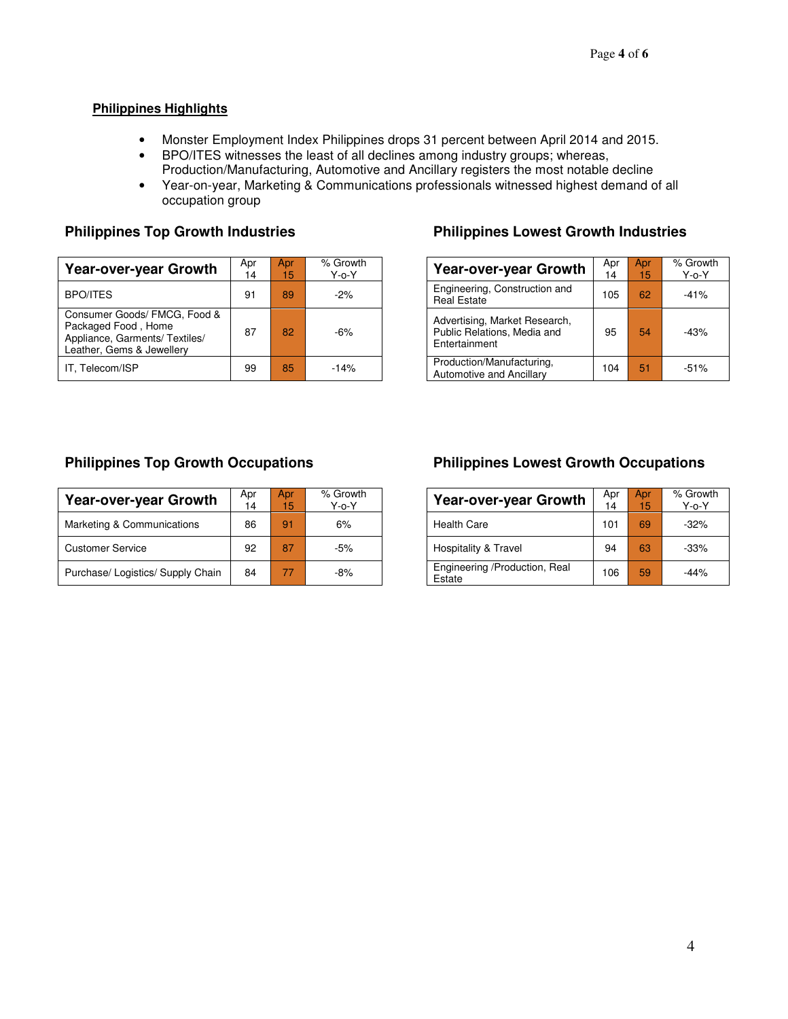#### **Philippines Highlights**

- Monster Employment Index Philippines drops 31 percent between April 2014 and 2015.
- BPO/ITES witnesses the least of all declines among industry groups; whereas, Production/Manufacturing, Automotive and Ancillary registers the most notable decline
- Year-on-year, Marketing & Communications professionals witnessed highest demand of all occupation group

| <b>Year-over-year Growth</b>                                                                                       | Apr<br>14 | Apr<br>15 | % Growth<br>$Y$ -0- $Y$ | Year-over-year Growt                                                          |
|--------------------------------------------------------------------------------------------------------------------|-----------|-----------|-------------------------|-------------------------------------------------------------------------------|
| <b>BPO/ITES</b>                                                                                                    | 91        | 89        | $-2%$                   | Engineering, Construction and<br><b>Real Estate</b>                           |
| Consumer Goods/ FMCG, Food &<br>Packaged Food, Home<br>Appliance, Garments/ Textiles/<br>Leather, Gems & Jewellery | 87        | 82        | $-6%$                   | Advertising, Market Research,<br>Public Relations, Media and<br>Entertainment |
| IT. Telecom/ISP                                                                                                    | 99        | 85        | $-14%$                  | Production/Manufacturing,<br>Automotive and Ancillary                         |

### **Philippines Top Growth Industries <b>Philippines Lowest Growth Industries**

| Growth<br>Y-o-Y | <b>Year-over-year Growth</b>                                                  | Apr<br>14 | Apr<br>15 | % Growth<br>$Y$ -o- $Y$ |
|-----------------|-------------------------------------------------------------------------------|-----------|-----------|-------------------------|
| $-2%$           | Engineering, Construction and<br><b>Real Estate</b>                           | 105       | 62        | $-41%$                  |
| $-6%$           | Advertising, Market Research,<br>Public Relations, Media and<br>Entertainment | 95        | 54        | $-43%$                  |
| $-14%$          | Production/Manufacturing.<br><b>Automotive and Ancillary</b>                  | 104       | 51        | $-51%$                  |

| Year-over-year Growth             | Apr<br>14 | Apr<br>15 | % Growth<br>$Y$ -o- $Y$ | <b>Year-over-year Growth</b>            | Apr<br>14 | Apr<br>15 | % Grow<br>$Y$ -o- $Y$ |
|-----------------------------------|-----------|-----------|-------------------------|-----------------------------------------|-----------|-----------|-----------------------|
| Marketing & Communications        | 86        | 91        | 6%                      | <b>Health Care</b>                      | 101       | 69        | $-32%$                |
| <b>Customer Service</b>           | 92        | 87        | $-5%$                   | Hospitality & Travel                    | 94        | 63        | $-33%$                |
| Purchase/ Logistics/ Supply Chain | 84        | 77        | -8%                     | Engineering /Production, Real<br>Estate | 106       | 59        | $-44%$                |

#### **Philippines Top Growth Occupations Philippines Lowest Growth Occupations**

| Growth<br>Y-o-Y | <b>Year-over-year Growth</b>            | Apr<br>14 | Apr<br>15 | % Growth<br>$Y$ -o- $Y$ |
|-----------------|-----------------------------------------|-----------|-----------|-------------------------|
| 6%              | <b>Health Care</b>                      | 101       | 69        | $-32%$                  |
| $-5%$           | Hospitality & Travel                    | 94        | 63        | $-33%$                  |
| $-8%$           | Engineering /Production, Real<br>Estate | 106       | 59        | $-44%$                  |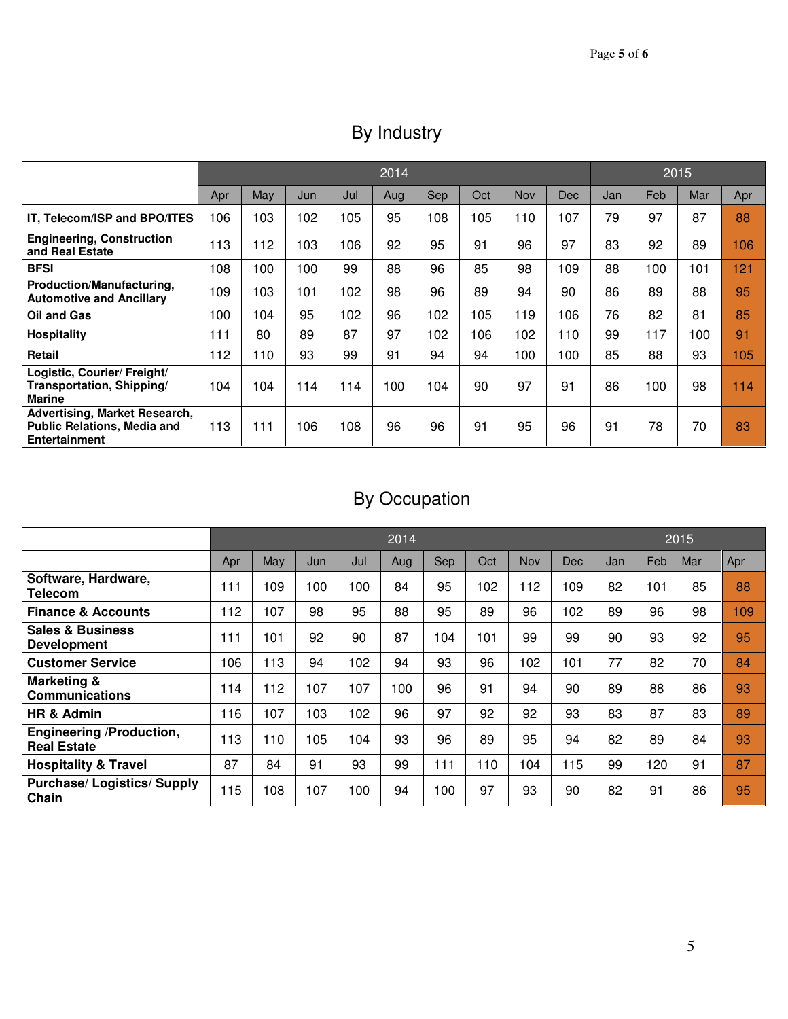| By Industry |  |  |
|-------------|--|--|
|-------------|--|--|

|                                                                                                    | 2014 |     |     |     |     |     |     |     |            |     | 2015 |     |     |  |
|----------------------------------------------------------------------------------------------------|------|-----|-----|-----|-----|-----|-----|-----|------------|-----|------|-----|-----|--|
|                                                                                                    | Apr  | May | Jun | Jul | Aug | Sep | Oct | Nov | <b>Dec</b> | Jan | Feb  | Mar | Apr |  |
| IT, Telecom/ISP and BPO/ITES                                                                       | 106  | 103 | 102 | 105 | 95  | 108 | 105 | 110 | 107        | 79  | 97   | 87  | 88  |  |
| <b>Engineering, Construction</b><br>and Real Estate                                                | 113  | 112 | 103 | 106 | 92  | 95  | 91  | 96  | 97         | 83  | 92   | 89  | 106 |  |
| <b>BFSI</b>                                                                                        | 108  | 100 | 100 | 99  | 88  | 96  | 85  | 98  | 109        | 88  | 100  | 101 | 121 |  |
| Production/Manufacturing,<br><b>Automotive and Ancillary</b>                                       | 109  | 103 | 101 | 102 | 98  | 96  | 89  | 94  | 90         | 86  | 89   | 88  | 95  |  |
| Oil and Gas                                                                                        | 100  | 104 | 95  | 102 | 96  | 102 | 105 | 119 | 106        | 76  | 82   | 81  | 85  |  |
| <b>Hospitality</b>                                                                                 | 111  | 80  | 89  | 87  | 97  | 102 | 106 | 102 | 110        | 99  | 117  | 100 | 91  |  |
| Retail                                                                                             | 112  | 110 | 93  | 99  | 91  | 94  | 94  | 100 | 100        | 85  | 88   | 93  | 105 |  |
| Logistic, Courier/ Freight/<br>Transportation, Shipping/<br><b>Marine</b>                          | 104  | 104 | 114 | 114 | 100 | 104 | 90  | 97  | 91         | 86  | 100  | 98  | 114 |  |
| <b>Advertising, Market Research,</b><br><b>Public Relations, Media and</b><br><b>Entertainment</b> | 113  | 111 | 106 | 108 | 96  | 96  | 91  | 95  | 96         | 91  | 78   | 70  | 83  |  |

## By Occupation

|                                                   | 2014 |     |     |     |     |     |     |     |            | 2015 |     |     |     |
|---------------------------------------------------|------|-----|-----|-----|-----|-----|-----|-----|------------|------|-----|-----|-----|
|                                                   | Apr  | May | Jun | Jul | Aug | Sep | Oct | Nov | <b>Dec</b> | Jan  | Feb | Mar | Apr |
| Software, Hardware,<br>Telecom                    | 111  | 109 | 100 | 100 | 84  | 95  | 102 | 112 | 109        | 82   | 101 | 85  | 88  |
| <b>Finance &amp; Accounts</b>                     | 112  | 107 | 98  | 95  | 88  | 95  | 89  | 96  | 102        | 89   | 96  | 98  | 109 |
| <b>Sales &amp; Business</b><br><b>Development</b> | 111  | 101 | 92  | 90  | 87  | 104 | 101 | 99  | 99         | 90   | 93  | 92  | 95  |
| <b>Customer Service</b>                           | 106  | 113 | 94  | 102 | 94  | 93  | 96  | 102 | 101        | 77   | 82  | 70  | 84  |
| <b>Marketing &amp;</b><br><b>Communications</b>   | 114  | 112 | 107 | 107 | 100 | 96  | 91  | 94  | 90         | 89   | 88  | 86  | 93  |
| HR & Admin                                        | 116  | 107 | 103 | 102 | 96  | 97  | 92  | 92  | 93         | 83   | 87  | 83  | 89  |
| Engineering /Production,<br><b>Real Estate</b>    | 113  | 110 | 105 | 104 | 93  | 96  | 89  | 95  | 94         | 82   | 89  | 84  | 93  |
| <b>Hospitality &amp; Travel</b>                   | 87   | 84  | 91  | 93  | 99  | 111 | 110 | 104 | 115        | 99   | 120 | 91  | 87  |
| <b>Purchase/Logistics/Supply</b><br>Chain         | 115  | 108 | 107 | 100 | 94  | 100 | 97  | 93  | 90         | 82   | 91  | 86  | 95  |